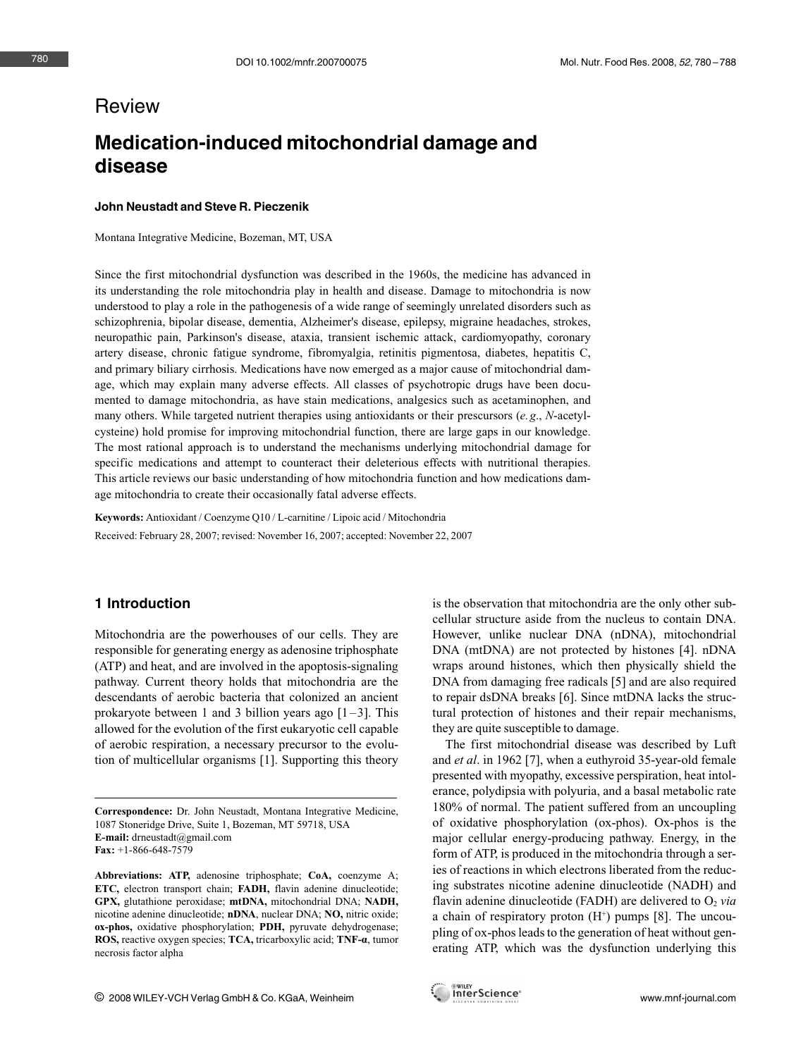# Review

# Medication-induced mitochondrial damage and disease

## John Neustadt and Steve R. Pieczenik

Montana Integrative Medicine, Bozeman, MT, USA

Since the first mitochondrial dysfunction was described in the 1960s, the medicine has advanced in its understanding the role mitochondria play in health and disease. Damage to mitochondria is now understood to play a role in the pathogenesis of a wide range of seemingly unrelated disorders such as schizophrenia, bipolar disease, dementia, Alzheimer's disease, epilepsy, migraine headaches, strokes, neuropathic pain, Parkinson's disease, ataxia, transient ischemic attack, cardiomyopathy, coronary artery disease, chronic fatigue syndrome, fibromyalgia, retinitis pigmentosa, diabetes, hepatitis C, and primary biliary cirrhosis. Medications have now emerged as a major cause of mitochondrial damage, which may explain many adverse effects. All classes of psychotropic drugs have been documented to damage mitochondria, as have stain medications, analgesics such as acetaminophen, and many others. While targeted nutrient therapies using antioxidants or their prescursors (e.g., N-acetylcysteine) hold promise for improving mitochondrial function, there are large gaps in our knowledge. The most rational approach is to understand the mechanisms underlying mitochondrial damage for specific medications and attempt to counteract their deleterious effects with nutritional therapies. This article reviews our basic understanding of how mitochondria function and how medications damage mitochondria to create their occasionally fatal adverse effects.

Keywords: Antioxidant / Coenzyme Q10 / L-carnitine / Lipoic acid / Mitochondria / Received: February 28, 2007; revised: November 16, 2007; accepted: November 22, 2007

# 1 Introduction

Mitochondria are the powerhouses of our cells. They are responsible for generating energy as adenosine triphosphate (ATP) and heat, and are involved in the apoptosis-signaling pathway. Current theory holds that mitochondria are the descendants of aerobic bacteria that colonized an ancient prokaryote between 1 and 3 billion years ago  $[1-3]$ . This allowed for the evolution of the first eukaryotic cell capable of aerobic respiration, a necessary precursor to the evolution of multicellular organisms [1]. Supporting this theory

Abbreviations: ATP, adenosine triphosphate; CoA, coenzyme A; ETC, electron transport chain; FADH, flavin adenine dinucleotide; GPX, glutathione peroxidase; mtDNA, mitochondrial DNA; NADH, nicotine adenine dinucleotide; nDNA, nuclear DNA; NO, nitric oxide; ox-phos, oxidative phosphorylation; PDH, pyruvate dehydrogenase; ROS, reactive oxygen species; TCA, tricarboxylic acid; TNF-*a*, tumor necrosis factor alpha

is the observation that mitochondria are the only other subcellular structure aside from the nucleus to contain DNA. However, unlike nuclear DNA (nDNA), mitochondrial DNA (mtDNA) are not protected by histones [4]. nDNA wraps around histones, which then physically shield the DNA from damaging free radicals [5] and are also required to repair dsDNA breaks [6]. Since mtDNA lacks the structural protection of histones and their repair mechanisms, they are quite susceptible to damage.

The first mitochondrial disease was described by Luft and *et al.* in 1962 [7], when a euthyroid 35-year-old female presented with myopathy, excessive perspiration, heat intolerance, polydipsia with polyuria, and a basal metabolic rate 180% of normal. The patient suffered from an uncoupling of oxidative phosphorylation (ox-phos). Ox-phos is the major cellular energy-producing pathway. Energy, in the form of ATP, is produced in the mitochondria through a series of reactions in which electrons liberated from the reducing substrates nicotine adenine dinucleotide (NADH) and flavin adenine dinucleotide (FADH) are delivered to  $O<sub>2</sub>$  via a chain of respiratory proton  $(H<sup>+</sup>)$  pumps [8]. The uncoupling of ox-phos leads to the generation of heat without generating ATP, which was the dysfunction underlying this

Correspondence: Dr. John Neustadt, Montana Integrative Medicine, 1087 Stoneridge Drive, Suite 1, Bozeman, MT 59718, USA E-mail: drneustadt@gmail.com Fax: +1-866-648-7579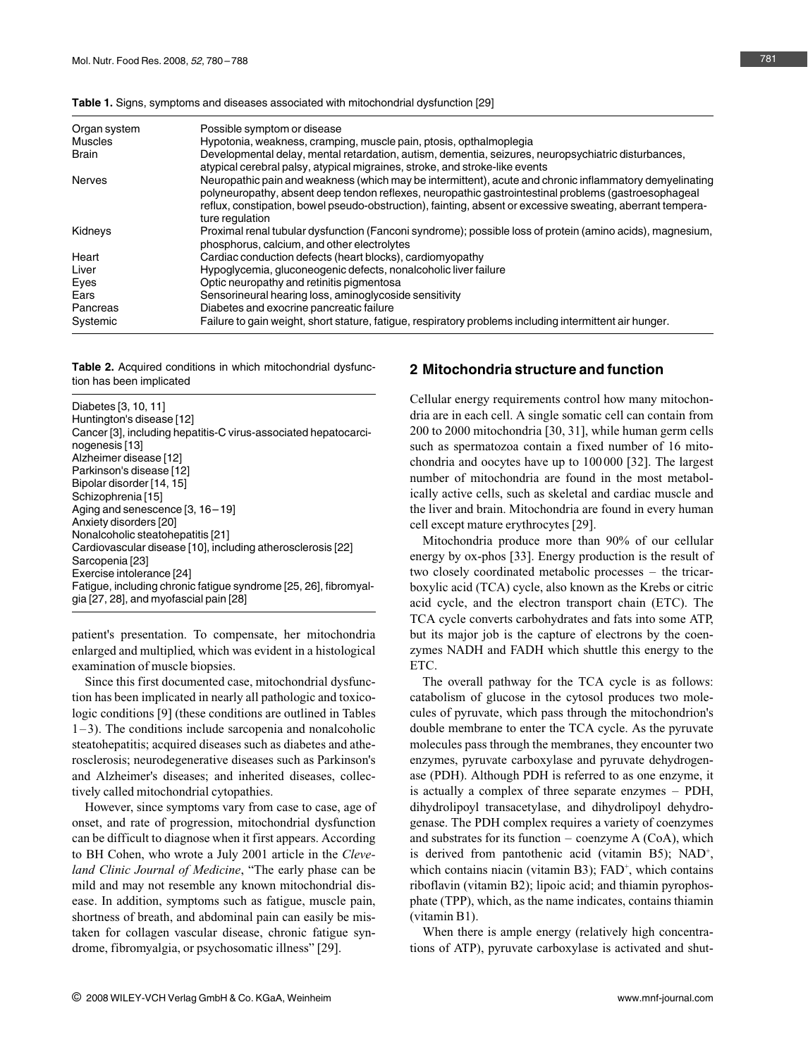| Organ system  | Possible symptom or disease                                                                                                                                                                                                                                                                                                                      |
|---------------|--------------------------------------------------------------------------------------------------------------------------------------------------------------------------------------------------------------------------------------------------------------------------------------------------------------------------------------------------|
| Muscles       | Hypotonia, weakness, cramping, muscle pain, ptosis, opthalmoplegia                                                                                                                                                                                                                                                                               |
| <b>Brain</b>  | Developmental delay, mental retardation, autism, dementia, seizures, neuropsychiatric disturbances,<br>atypical cerebral palsy, atypical migraines, stroke, and stroke-like events                                                                                                                                                               |
| <b>Nerves</b> | Neuropathic pain and weakness (which may be intermittent), acute and chronic inflammatory demyelinating<br>polyneuropathy, absent deep tendon reflexes, neuropathic gastrointestinal problems (gastroesophageal<br>reflux, constipation, bowel pseudo-obstruction), fainting, absent or excessive sweating, aberrant tempera-<br>ture regulation |
| Kidneys       | Proximal renal tubular dysfunction (Fanconi syndrome); possible loss of protein (amino acids), magnesium,<br>phosphorus, calcium, and other electrolytes                                                                                                                                                                                         |
| Heart         | Cardiac conduction defects (heart blocks), cardiomyopathy                                                                                                                                                                                                                                                                                        |
| Liver         | Hypoglycemia, gluconeogenic defects, nonalcoholic liver failure                                                                                                                                                                                                                                                                                  |
| Eyes          | Optic neuropathy and retinitis pigmentosa                                                                                                                                                                                                                                                                                                        |
| Ears          | Sensorineural hearing loss, aminoglycoside sensitivity                                                                                                                                                                                                                                                                                           |
| Pancreas      | Diabetes and exocrine pancreatic failure                                                                                                                                                                                                                                                                                                         |
| Systemic      | Failure to gain weight, short stature, fatigue, respiratory problems including intermittent air hunger.                                                                                                                                                                                                                                          |

Table 1. Signs, symptoms and diseases associated with mitochondrial dysfunction [29]

Table 2. Acquired conditions in which mitochondrial dysfunction has been implicated

Diabetes [3, 10, 11] Huntington's disease [12] Cancer [3], including hepatitis-C virus-associated hepatocarcinogenesis [13] Alzheimer disease [12] Parkinson's disease [12] Bipolar disorder [14, 15] Schizophrenia [15] Aging and senescence [3, 16 – 19] Anxiety disorders [20] Nonalcoholic steatohepatitis [21] Cardiovascular disease [10], including atherosclerosis [22] Sarcopenia [23] Exercise intolerance [24] Fatigue, including chronic fatigue syndrome [25, 26], fibromyalgia [27, 28], and myofascial pain [28]

patient's presentation. To compensate, her mitochondria enlarged and multiplied, which was evident in a histological examination of muscle biopsies.

Since this first documented case, mitochondrial dysfunction has been implicated in nearly all pathologic and toxicologic conditions [9] (these conditions are outlined in Tables  $1-3$ ). The conditions include sarcopenia and nonalcoholic steatohepatitis; acquired diseases such as diabetes and atherosclerosis; neurodegenerative diseases such as Parkinson's and Alzheimer's diseases; and inherited diseases, collectively called mitochondrial cytopathies.

However, since symptoms vary from case to case, age of onset, and rate of progression, mitochondrial dysfunction can be difficult to diagnose when it first appears. According to BH Cohen, who wrote a July 2001 article in the Cleveland Clinic Journal of Medicine, "The early phase can be mild and may not resemble any known mitochondrial disease. In addition, symptoms such as fatigue, muscle pain, shortness of breath, and abdominal pain can easily be mistaken for collagen vascular disease, chronic fatigue syndrome, fibromyalgia, or psychosomatic illness" [29].

# 2 Mitochondria structure and function

Cellular energy requirements control how many mitochondria are in each cell. A single somatic cell can contain from 200 to 2000 mitochondria [30, 31], while human germ cells such as spermatozoa contain a fixed number of 16 mitochondria and oocytes have up to 100 000 [32]. The largest number of mitochondria are found in the most metabolically active cells, such as skeletal and cardiac muscle and the liver and brain. Mitochondria are found in every human cell except mature erythrocytes [29].

Mitochondria produce more than 90% of our cellular energy by ox-phos [33]. Energy production is the result of two closely coordinated metabolic processes – the tricarboxylic acid (TCA) cycle, also known as the Krebs or citric acid cycle, and the electron transport chain (ETC). The TCA cycle converts carbohydrates and fats into some ATP, but its major job is the capture of electrons by the coenzymes NADH and FADH which shuttle this energy to the ETC.

The overall pathway for the TCA cycle is as follows: catabolism of glucose in the cytosol produces two molecules of pyruvate, which pass through the mitochondrion's double membrane to enter the TCA cycle. As the pyruvate molecules pass through the membranes, they encounter two enzymes, pyruvate carboxylase and pyruvate dehydrogenase (PDH). Although PDH is referred to as one enzyme, it is actually a complex of three separate enzymes – PDH, dihydrolipoyl transacetylase, and dihydrolipoyl dehydrogenase. The PDH complex requires a variety of coenzymes and substrates for its function – coenzyme A (CoA), which is derived from pantothenic acid (vitamin B5); NAD<sup>+</sup>, which contains niacin (vitamin B3); FAD<sup>+</sup>, which contains riboflavin (vitamin B2); lipoic acid; and thiamin pyrophosphate (TPP), which, as the name indicates, contains thiamin (vitamin B1).

When there is ample energy (relatively high concentrations of ATP), pyruvate carboxylase is activated and shut-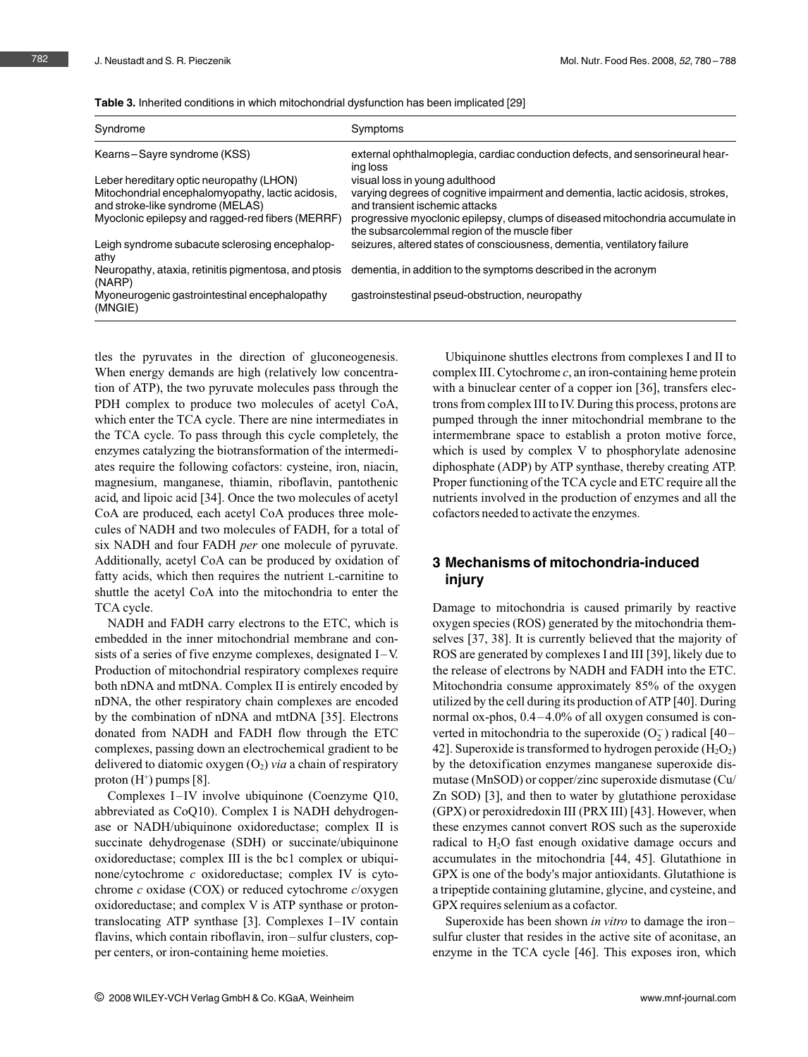| <b>Table 3.</b> Inherited conditions in which mitochondrial dysfunction has been implicated [29] |  |  |
|--------------------------------------------------------------------------------------------------|--|--|
|--------------------------------------------------------------------------------------------------|--|--|

| Syndrome                                                                              | Symptoms                                                                                                                       |
|---------------------------------------------------------------------------------------|--------------------------------------------------------------------------------------------------------------------------------|
| Kearns-Sayre syndrome (KSS)                                                           | external ophthalmoplegia, cardiac conduction defects, and sensorineural hear-<br>ing loss                                      |
| Leber hereditary optic neuropathy (LHON)                                              | visual loss in young adulthood                                                                                                 |
| Mitochondrial encephalomyopathy, lactic acidosis,<br>and stroke-like syndrome (MELAS) | varying degrees of cognitive impairment and dementia, lactic acidosis, strokes,<br>and transient ischemic attacks              |
| Myoclonic epilepsy and ragged-red fibers (MERRF)                                      | progressive myoclonic epilepsy, clumps of diseased mitochondria accumulate in<br>the subsarcolemmal region of the muscle fiber |
| Leigh syndrome subacute sclerosing encephalop-<br>athy                                | seizures, altered states of consciousness, dementia, ventilatory failure                                                       |
| Neuropathy, ataxia, retinitis pigmentosa, and ptosis<br>(NARP)                        | dementia, in addition to the symptoms described in the acronym                                                                 |
| Myoneurogenic gastrointestinal encephalopathy<br>(MNGIE)                              | gastroinstestinal pseud-obstruction, neuropathy                                                                                |

tles the pyruvates in the direction of gluconeogenesis. When energy demands are high (relatively low concentration of ATP), the two pyruvate molecules pass through the PDH complex to produce two molecules of acetyl CoA, which enter the TCA cycle. There are nine intermediates in the TCA cycle. To pass through this cycle completely, the enzymes catalyzing the biotransformation of the intermediates require the following cofactors: cysteine, iron, niacin, magnesium, manganese, thiamin, riboflavin, pantothenic acid, and lipoic acid [34]. Once the two molecules of acetyl CoA are produced, each acetyl CoA produces three molecules of NADH and two molecules of FADH, for a total of six NADH and four FADH *per* one molecule of pyruvate. Additionally, acetyl CoA can be produced by oxidation of fatty acids, which then requires the nutrient L-carnitine to shuttle the acetyl CoA into the mitochondria to enter the TCA cycle.

NADH and FADH carry electrons to the ETC, which is embedded in the inner mitochondrial membrane and consists of a series of five enzyme complexes, designated I-V. Production of mitochondrial respiratory complexes require both nDNA and mtDNA. Complex II is entirely encoded by nDNA, the other respiratory chain complexes are encoded by the combination of nDNA and mtDNA [35]. Electrons donated from NADH and FADH flow through the ETC complexes, passing down an electrochemical gradient to be delivered to diatomic oxygen  $(O_2)$  via a chain of respiratory proton  $(H^+)$  pumps [8].

Complexes I–IV involve ubiquinone (Coenzyme Q10, abbreviated as CoQ10). Complex I is NADH dehydrogenase or NADH/ubiquinone oxidoreductase; complex II is succinate dehydrogenase (SDH) or succinate/ubiquinone oxidoreductase; complex III is the bc1 complex or ubiquinone/cytochrome c oxidoreductase; complex IV is cytochrome c oxidase (COX) or reduced cytochrome c/oxygen oxidoreductase; and complex V is ATP synthase or protontranslocating ATP synthase [3]. Complexes I-IV contain flavins, which contain riboflavin, iron-sulfur clusters, copper centers, or iron-containing heme moieties.

Ubiquinone shuttles electrons from complexes I and II to complex III. Cytochrome  $c$ , an iron-containing heme protein with a binuclear center of a copper ion [36], transfers electrons from complex III to IV. During this process, protons are pumped through the inner mitochondrial membrane to the intermembrane space to establish a proton motive force, which is used by complex V to phosphorylate adenosine diphosphate (ADP) by ATP synthase, thereby creating ATP. Proper functioning of the TCA cycle and ETC require all the nutrients involved in the production of enzymes and all the cofactors needed to activate the enzymes.

# 3 Mechanisms of mitochondria-induced injury

Damage to mitochondria is caused primarily by reactive oxygen species (ROS) generated by the mitochondria themselves [37, 38]. It is currently believed that the majority of ROS are generated by complexes I and III [39], likely due to the release of electrons by NADH and FADH into the ETC. Mitochondria consume approximately 85% of the oxygen utilized by the cell during its production of ATP [40]. During normal ox-phos,  $0.4 - 4.0\%$  of all oxygen consumed is converted in mitochondria to the superoxide  $(O_2^-)$  radical [40– 42]. Superoxide is transformed to hydrogen peroxide  $(H_2O_2)$ by the detoxification enzymes manganese superoxide dismutase (MnSOD) or copper/zinc superoxide dismutase (Cu/ Zn SOD) [3], and then to water by glutathione peroxidase (GPX) or peroxidredoxin III (PRX III) [43]. However, when these enzymes cannot convert ROS such as the superoxide radical to  $H_2O$  fast enough oxidative damage occurs and accumulates in the mitochondria [44, 45]. Glutathione in GPX is one of the body's major antioxidants. Glutathione is a tripeptide containing glutamine, glycine, and cysteine, and GPX requires selenium as a cofactor.

Superoxide has been shown in vitro to damage the ironsulfur cluster that resides in the active site of aconitase, an enzyme in the TCA cycle [46]. This exposes iron, which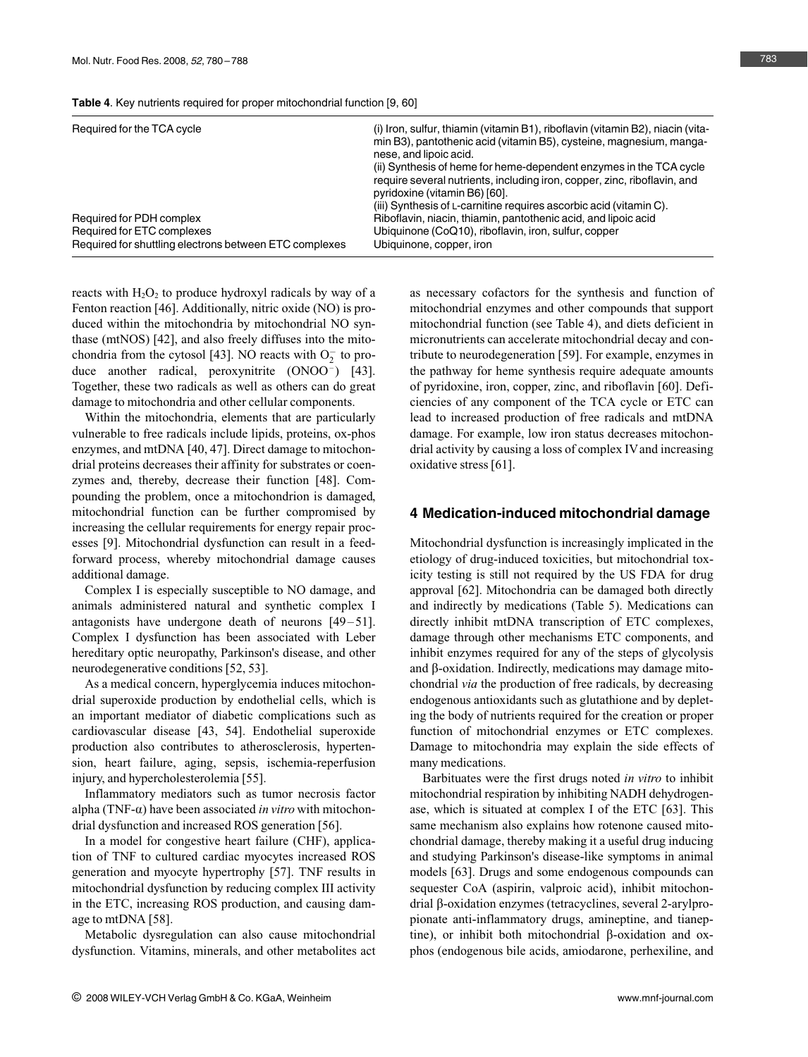| <b>Table 4.</b> Key nutrients required for proper mitochondrial function [9, 60] |  |
|----------------------------------------------------------------------------------|--|
|----------------------------------------------------------------------------------|--|

| min B3), pantothenic acid (vitamin B5), cysteine, magnesium, manga-<br>nese, and lipoic acid.<br>pyridoxine (vitamin B6) [60].<br>Required for PDH complex<br>Ubiquinone (CoQ10), riboflavin, iron, sulfur, copper<br>Required for ETC complexes<br>Required for shuttling electrons between ETC complexes<br>Ubiquinone, copper, iron | (ii) Synthesis of heme for heme-dependent enzymes in the TCA cycle<br>require several nutrients, including iron, copper, zinc, riboflavin, and<br>(iii) Synthesis of L-carnitine requires ascorbic acid (vitamin C).<br>Riboflavin, niacin, thiamin, pantothenic acid, and lipoic acid |
|----------------------------------------------------------------------------------------------------------------------------------------------------------------------------------------------------------------------------------------------------------------------------------------------------------------------------------------|----------------------------------------------------------------------------------------------------------------------------------------------------------------------------------------------------------------------------------------------------------------------------------------|
|----------------------------------------------------------------------------------------------------------------------------------------------------------------------------------------------------------------------------------------------------------------------------------------------------------------------------------------|----------------------------------------------------------------------------------------------------------------------------------------------------------------------------------------------------------------------------------------------------------------------------------------|

reacts with  $H_2O_2$  to produce hydroxyl radicals by way of a Fenton reaction [46]. Additionally, nitric oxide (NO) is produced within the mitochondria by mitochondrial NO synthase (mtNOS) [42], and also freely diffuses into the mitochondria from the cytosol [43]. NO reacts with  $O_2^-$  to produce another radical, peroxynitrite (ONOO<sup>-</sup>) [43]. Together, these two radicals as well as others can do great damage to mitochondria and other cellular components.

Within the mitochondria, elements that are particularly vulnerable to free radicals include lipids, proteins, ox-phos enzymes, and mtDNA [40, 47]. Direct damage to mitochondrial proteins decreases their affinity for substrates or coenzymes and, thereby, decrease their function [48]. Compounding the problem, once a mitochondrion is damaged, mitochondrial function can be further compromised by increasing the cellular requirements for energy repair processes [9]. Mitochondrial dysfunction can result in a feedforward process, whereby mitochondrial damage causes additional damage.

Complex I is especially susceptible to NO damage, and animals administered natural and synthetic complex I antagonists have undergone death of neurons  $[49-51]$ . Complex I dysfunction has been associated with Leber hereditary optic neuropathy, Parkinson's disease, and other neurodegenerative conditions [52, 53].

As a medical concern, hyperglycemia induces mitochondrial superoxide production by endothelial cells, which is an important mediator of diabetic complications such as cardiovascular disease [43, 54]. Endothelial superoxide production also contributes to atherosclerosis, hypertension, heart failure, aging, sepsis, ischemia-reperfusion injury, and hypercholesterolemia [55].

Inflammatory mediators such as tumor necrosis factor alpha (TNF- $\alpha$ ) have been associated *in vitro* with mitochondrial dysfunction and increased ROS generation [56].

In a model for congestive heart failure (CHF), application of TNF to cultured cardiac myocytes increased ROS generation and myocyte hypertrophy [57]. TNF results in mitochondrial dysfunction by reducing complex III activity in the ETC, increasing ROS production, and causing damage to mtDNA [58].

Metabolic dysregulation can also cause mitochondrial dysfunction. Vitamins, minerals, and other metabolites act as necessary cofactors for the synthesis and function of mitochondrial enzymes and other compounds that support mitochondrial function (see Table 4), and diets deficient in micronutrients can accelerate mitochondrial decay and contribute to neurodegeneration [59]. For example, enzymes in the pathway for heme synthesis require adequate amounts of pyridoxine, iron, copper, zinc, and riboflavin [60]. Deficiencies of any component of the TCA cycle or ETC can lead to increased production of free radicals and mtDNA damage. For example, low iron status decreases mitochondrial activity by causing a loss of complex IVand increasing oxidative stress [61].

### 4 Medication-induced mitochondrial damage

Mitochondrial dysfunction is increasingly implicated in the etiology of drug-induced toxicities, but mitochondrial toxicity testing is still not required by the US FDA for drug approval [62]. Mitochondria can be damaged both directly and indirectly by medications (Table 5). Medications can directly inhibit mtDNA transcription of ETC complexes, damage through other mechanisms ETC components, and inhibit enzymes required for any of the steps of glycolysis and  $\beta$ -oxidation. Indirectly, medications may damage mitochondrial via the production of free radicals, by decreasing endogenous antioxidants such as glutathione and by depleting the body of nutrients required for the creation or proper function of mitochondrial enzymes or ETC complexes. Damage to mitochondria may explain the side effects of many medications.

Barbituates were the first drugs noted in vitro to inhibit mitochondrial respiration by inhibiting NADH dehydrogenase, which is situated at complex I of the ETC [63]. This same mechanism also explains how rotenone caused mitochondrial damage, thereby making it a useful drug inducing and studying Parkinson's disease-like symptoms in animal models [63]. Drugs and some endogenous compounds can sequester CoA (aspirin, valproic acid), inhibit mitochondrial β-oxidation enzymes (tetracyclines, several 2-arylpropionate anti-inflammatory drugs, amineptine, and tianeptine), or inhibit both mitochondrial  $\beta$ -oxidation and oxphos (endogenous bile acids, amiodarone, perhexiline, and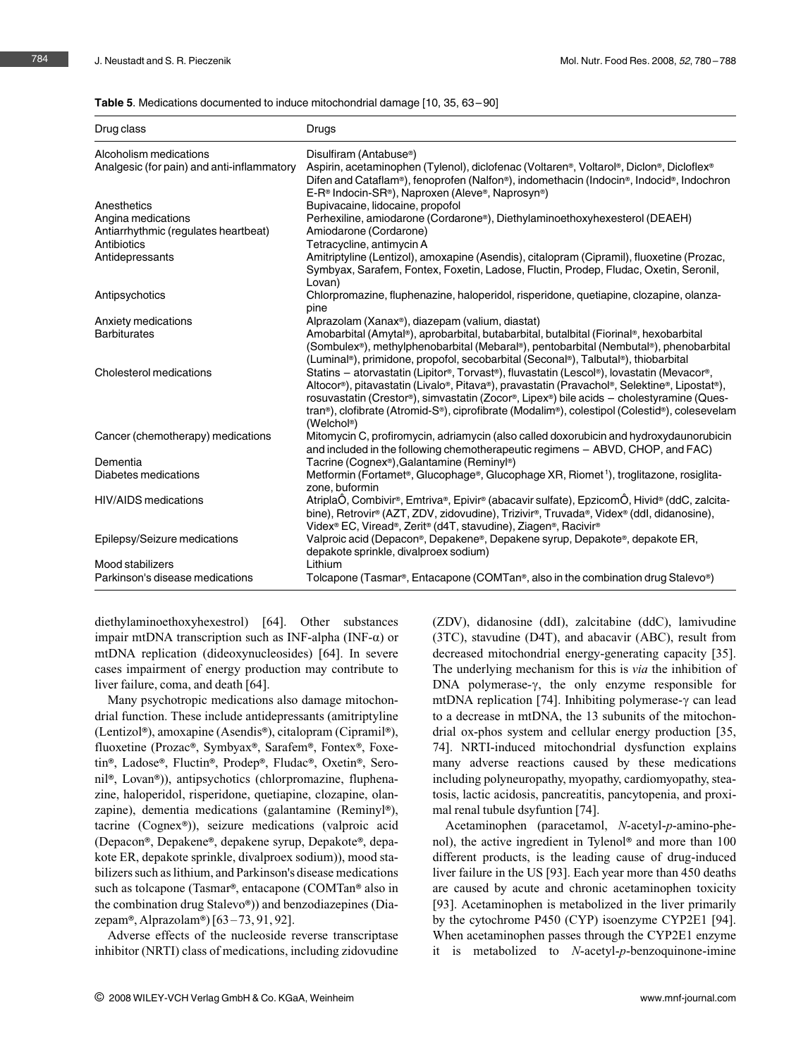#### Table 5. Medications documented to induce mitochondrial damage [10, 35, 63 – 90]

| Drug class                                 | Drugs                                                                                                                                                                                                                                                                                                                                                                                                             |
|--------------------------------------------|-------------------------------------------------------------------------------------------------------------------------------------------------------------------------------------------------------------------------------------------------------------------------------------------------------------------------------------------------------------------------------------------------------------------|
| Alcoholism medications                     | Disulfiram (Antabuse <sup>®</sup> )                                                                                                                                                                                                                                                                                                                                                                               |
| Analgesic (for pain) and anti-inflammatory | Aspirin, acetaminophen (Tylenol), diclofenac (Voltaren®, Voltarol®, Diclon®, Dicloflex®<br>Difen and Cataflam®), fenoprofen (Nalfon®), indomethacin (Indocin®, Indocid®, Indochron<br>E-R <sup>®</sup> Indocin-SR®), Naproxen (Aleve®, Naprosyn®)                                                                                                                                                                 |
| Anesthetics                                | Bupivacaine, lidocaine, propofol                                                                                                                                                                                                                                                                                                                                                                                  |
| Angina medications                         | Perhexiline, amiodarone (Cordarone®), Diethylaminoethoxyhexesterol (DEAEH)                                                                                                                                                                                                                                                                                                                                        |
| Antiarrhythmic (regulates heartbeat)       | Amiodarone (Cordarone)                                                                                                                                                                                                                                                                                                                                                                                            |
| Antibiotics                                | Tetracycline, antimycin A                                                                                                                                                                                                                                                                                                                                                                                         |
| Antidepressants                            | Amitriptyline (Lentizol), amoxapine (Asendis), citalopram (Cipramil), fluoxetine (Prozac,<br>Symbyax, Sarafem, Fontex, Foxetin, Ladose, Fluctin, Prodep, Fludac, Oxetin, Seronil,<br>Lovan)                                                                                                                                                                                                                       |
| Antipsychotics                             | Chlorpromazine, fluphenazine, haloperidol, risperidone, quetiapine, clozapine, olanza-<br>pine                                                                                                                                                                                                                                                                                                                    |
| Anxiety medications                        | Alprazolam (Xanax <sup>®</sup> ), diazepam (valium, diastat)                                                                                                                                                                                                                                                                                                                                                      |
| <b>Barbiturates</b>                        | Amobarbital (Amytal®), aprobarbital, butabarbital, butalbital (Fiorinal®, hexobarbital<br>(Sombulex®), methylphenobarbital (Mebaral®), pentobarbital (Nembutal®), phenobarbital<br>(Luminal®), primidone, propofol, secobarbital (Seconal®), Talbutal®), thiobarbital                                                                                                                                             |
| Cholesterol medications                    | Statins - atorvastatin (Lipitor®, Torvast®), fluvastatin (Lescol®), lovastatin (Mevacor®,<br>Altocor®), pitavastatin (Livalo®, Pitava®), pravastatin (Pravachol®, Selektine®, Lipostat®),<br>rosuvastatin (Crestor®), simvastatin (Zocor®, Lipex®) bile acids - cholestyramine (Ques-<br>tran®), clofibrate (Atromid-S®), ciprofibrate (Modalim®), colestipol (Colestid®), colesevelam<br>(Welchol <sup>®</sup> ) |
| Cancer (chemotherapy) medications          | Mitomycin C, profiromycin, adriamycin (also called doxorubicin and hydroxydaunorubicin<br>and included in the following chemotherapeutic regimens - ABVD, CHOP, and FAC)                                                                                                                                                                                                                                          |
| Dementia                                   | Tacrine (Cognex <sup>®</sup> ), Galantamine (Reminyl®)                                                                                                                                                                                                                                                                                                                                                            |
| Diabetes medications                       | Metformin (Fortamet®, Glucophage®, Glucophage XR, Riomet <sup>1</sup> ), troglitazone, rosiglita-<br>zone, buformin                                                                                                                                                                                                                                                                                               |
| <b>HIV/AIDS</b> medications                | AtriplaÖ, Combivir®, Emtriva®, Epivir® (abacavir sulfate), EpzicomÖ, Hivid® (ddC, zalcita-<br>bine), Retrovir® (AZT, ZDV, zidovudine), Trizivir®, Truvada®, Videx® (ddl, didanosine),<br>Videx® EC, Viread®, Zerit® (d4T, stavudine), Ziagen®, Racivir®                                                                                                                                                           |
| Epilepsy/Seizure medications               | Valproic acid (Depacon®, Depakene®, Depakene syrup, Depakote®, depakote ER,<br>depakote sprinkle, divalproex sodium)                                                                                                                                                                                                                                                                                              |
| Mood stabilizers                           | Lithium                                                                                                                                                                                                                                                                                                                                                                                                           |
| Parkinson's disease medications            | Tolcapone (Tasmar®, Entacapone (COMTan®, also in the combination drug Stalevo®)                                                                                                                                                                                                                                                                                                                                   |

diethylaminoethoxyhexestrol) [64]. Other substances impair mtDNA transcription such as INF-alpha (INF- $\alpha$ ) or mtDNA replication (dideoxynucleosides) [64]. In severe cases impairment of energy production may contribute to liver failure, coma, and death [64].

Many psychotropic medications also damage mitochondrial function. These include antidepressants (amitriptyline (Lentizol<sup>®</sup>), amoxapine (Asendis<sup>®</sup>), citalopram (Cipramil®), fluoxetine (Prozac®, Symbyax®, Sarafem®, Fontex®, Foxetin®, Ladose®, Fluctin®, Prodep®, Fludac®, Oxetin®, Seronil<sup>®</sup>, Lovan®)), antipsychotics (chlorpromazine, fluphenazine, haloperidol, risperidone, quetiapine, clozapine, olanzapine), dementia medications (galantamine (Reminyl<sup>®</sup>), tacrine (Cognex®)), seizure medications (valproic acid (Depacon®, Depakene®, depakene syrup, Depakote®, depakote ER, depakote sprinkle, divalproex sodium)), mood stabilizers such as lithium, and Parkinson's disease medications such as tolcapone (Tasmar®, entacapone (COMTan® also in the combination drug Stalevo®)) and benzodiazepines (Diazepam®, Alprazolam®)  $[63-73, 91, 92]$ .

Adverse effects of the nucleoside reverse transcriptase inhibitor (NRTI) class of medications, including zidovudine

(ZDV), didanosine (ddI), zalcitabine (ddC), lamivudine (3TC), stavudine (D4T), and abacavir (ABC), result from decreased mitochondrial energy-generating capacity [35]. The underlying mechanism for this is via the inhibition of DNA polymerase- $\gamma$ , the only enzyme responsible for mtDNA replication [74]. Inhibiting polymerase- $\gamma$  can lead to a decrease in mtDNA, the 13 subunits of the mitochondrial ox-phos system and cellular energy production [35, 74]. NRTI-induced mitochondrial dysfunction explains many adverse reactions caused by these medications including polyneuropathy, myopathy, cardiomyopathy, steatosis, lactic acidosis, pancreatitis, pancytopenia, and proximal renal tubule dsyfuntion [74].

Acetaminophen (paracetamol, N-acetyl-p-amino-phenol), the active ingredient in Tylenol<sup>®</sup> and more than  $100$ different products, is the leading cause of drug-induced liver failure in the US [93]. Each year more than 450 deaths are caused by acute and chronic acetaminophen toxicity [93]. Acetaminophen is metabolized in the liver primarily by the cytochrome P450 (CYP) isoenzyme CYP2E1 [94]. When acetaminophen passes through the CYP2E1 enzyme it is metabolized to N-acetyl-p-benzoquinone-imine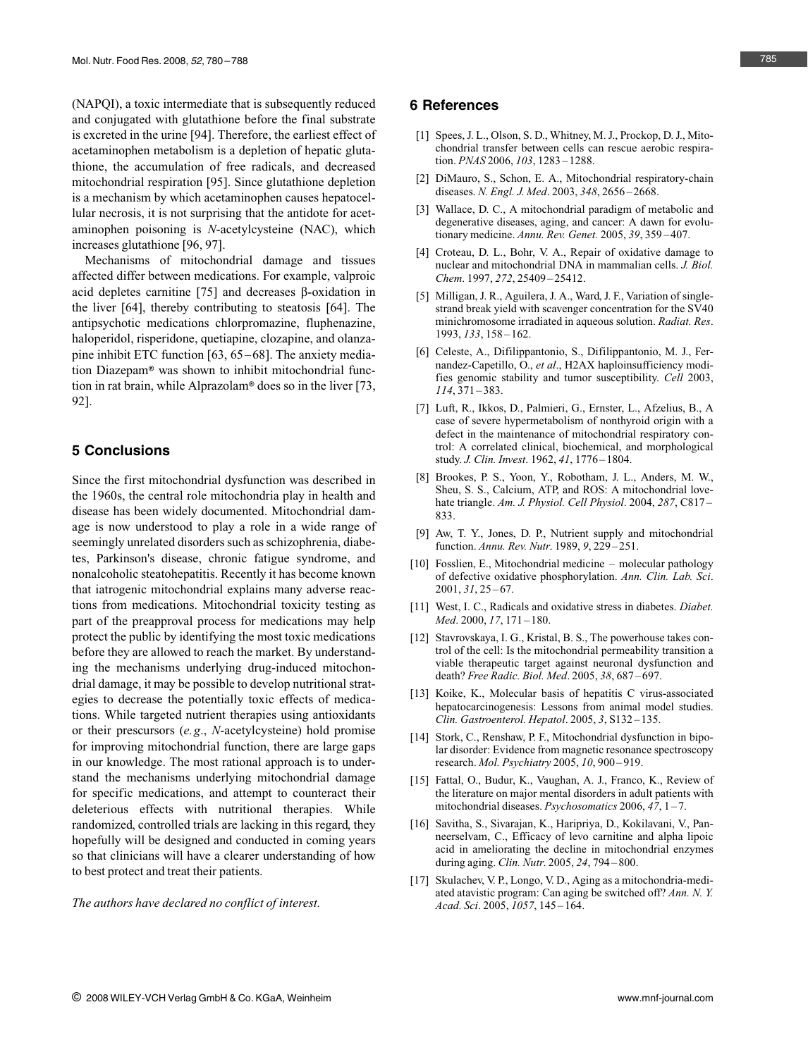(NAPQI), a toxic intermediate that is subsequently reduced and conjugated with glutathione before the final substrate is excreted in the urine [94]. Therefore, the earliest effect of acetaminophen metabolism is a depletion of hepatic glutathione, the accumulation of free radicals, and decreased mitochondrial respiration [95]. Since glutathione depletion is a mechanism by which acetaminophen causes hepatocellular necrosis, it is not surprising that the antidote for acetaminophen poisoning is N-acetylcysteine (NAC), which increases glutathione [96, 97].

Mechanisms of mitochondrial damage and tissues affected differ between medications. For example, valproic acid depletes carnitine  $[75]$  and decreases  $\beta$ -oxidation in the liver [64], thereby contributing to steatosis [64]. The antipsychotic medications chlorpromazine, fluphenazine, haloperidol, risperidone, quetiapine, clozapine, and olanzapine inhibit ETC function [63, 65 – 68]. The anxiety mediation Diazepam® was shown to inhibit mitochondrial function in rat brain, while Alprazolam® does so in the liver  $[73, 10]$ 92].

# 5 Conclusions

Since the first mitochondrial dysfunction was described in the 1960s, the central role mitochondria play in health and disease has been widely documented. Mitochondrial damage is now understood to play a role in a wide range of seemingly unrelated disorders such as schizophrenia, diabetes, Parkinson's disease, chronic fatigue syndrome, and nonalcoholic steatohepatitis. Recently it has become known that iatrogenic mitochondrial explains many adverse reactions from medications. Mitochondrial toxicity testing as part of the preapproval process for medications may help protect the public by identifying the most toxic medications before they are allowed to reach the market. By understanding the mechanisms underlying drug-induced mitochondrial damage, it may be possible to develop nutritional strategies to decrease the potentially toxic effects of medications. While targeted nutrient therapies using antioxidants or their prescursors (e. g., N-acetylcysteine) hold promise for improving mitochondrial function, there are large gaps in our knowledge. The most rational approach is to understand the mechanisms underlying mitochondrial damage for specific medications, and attempt to counteract their deleterious effects with nutritional therapies. While randomized, controlled trials are lacking in this regard, they hopefully will be designed and conducted in coming years so that clinicians will have a clearer understanding of how to best protect and treat their patients.

The authors have declared no conflict of interest.

#### 6 References

- [1] Spees, J. L., Olson, S. D., Whitney, M. J., Prockop, D. J., Mitochondrial transfer between cells can rescue aerobic respiration. PNAS 2006, 103, 1283 – 1288.
- [2] DiMauro, S., Schon, E. A., Mitochondrial respiratory-chain diseases. N. Engl. J. Med. 2003, 348, 2656 – 2668.
- [3] Wallace, D. C., A mitochondrial paradigm of metabolic and degenerative diseases, aging, and cancer: A dawn for evolutionary medicine. Annu. Rev. Genet. 2005, 39, 359 – 407.
- [4] Croteau, D. L., Bohr, V. A., Repair of oxidative damage to nuclear and mitochondrial DNA in mammalian cells. J. Biol. Chem. 1997, 272, 25409-25412.
- [5] Milligan, J. R., Aguilera, J. A., Ward, J. F., Variation of singlestrand break yield with scavenger concentration for the SV40 minichromosome irradiated in aqueous solution. Radiat. Res. 1993, 133, 158 – 162.
- [6] Celeste, A., Difilippantonio, S., Difilippantonio, M. J., Fernandez-Capetillo, O., et al., H2AX haploinsufficiency modifies genomic stability and tumor susceptibility. Cell 2003, 114, 371 – 383.
- [7] Luft, R., Ikkos, D., Palmieri, G., Ernster, L., Afzelius, B., A case of severe hypermetabolism of nonthyroid origin with a defect in the maintenance of mitochondrial respiratory control: A correlated clinical, biochemical, and morphological study. J. Clin. Invest. 1962, 41, 1776 – 1804.
- [8] Brookes, P. S., Yoon, Y., Robotham, J. L., Anders, M. W., Sheu, S. S., Calcium, ATP, and ROS: A mitochondrial lovehate triangle. Am. J. Physiol. Cell Physiol. 2004, 287, C817-833.
- [9] Aw, T. Y., Jones, D. P., Nutrient supply and mitochondrial function. Annu. Rev. Nutr. 1989, 9, 229 – 251.
- [10] Fosslien, E., Mitochondrial medicine molecular pathology of defective oxidative phosphorylation. Ann. Clin. Lab. Sci. 2001, 31, 25 – 67.
- [11] West, I. C., Radicals and oxidative stress in diabetes. Diabet. Med. 2000, 17, 171-180.
- [12] Stavrovskaya, I. G., Kristal, B. S., The powerhouse takes control of the cell: Is the mitochondrial permeability transition a viable therapeutic target against neuronal dysfunction and death? Free Radic. Biol. Med. 2005, 38, 687-697.
- [13] Koike, K., Molecular basis of hepatitis C virus-associated hepatocarcinogenesis: Lessons from animal model studies. Clin. Gastroenterol. Hepatol. 2005, 3, S132 – 135.
- [14] Stork, C., Renshaw, P. F., Mitochondrial dysfunction in bipolar disorder: Evidence from magnetic resonance spectroscopy research. Mol. Psychiatry 2005, 10, 900 – 919.
- [15] Fattal, O., Budur, K., Vaughan, A. J., Franco, K., Review of the literature on major mental disorders in adult patients with mitochondrial diseases. Psychosomatics 2006, 47, 1-7.
- [16] Savitha, S., Sivarajan, K., Haripriya, D., Kokilavani, V., Panneerselvam, C., Efficacy of levo carnitine and alpha lipoic acid in ameliorating the decline in mitochondrial enzymes during aging. Clin. Nutr. 2005, 24, 794 – 800.
- [17] Skulachev, V. P., Longo, V. D., Aging as a mitochondria-mediated atavistic program: Can aging be switched off? Ann. N. Y. Acad. Sci. 2005, 1057, 145 – 164.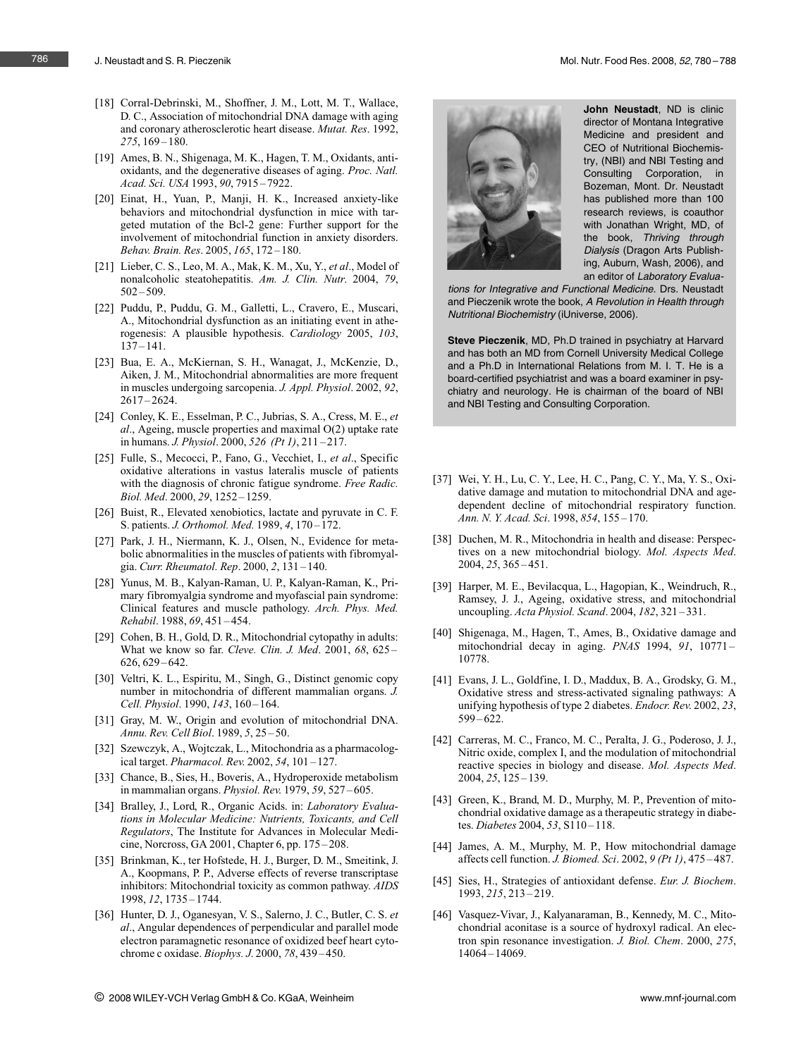- [18] Corral-Debrinski, M., Shoffner, J. M., Lott, M. T., Wallace, D. C., Association of mitochondrial DNA damage with aging and coronary atherosclerotic heart disease. Mutat. Res. 1992, 275, 169 – 180.
- [19] Ames, B. N., Shigenaga, M. K., Hagen, T. M., Oxidants, antioxidants, and the degenerative diseases of aging. Proc. Natl. Acad. Sci. USA 1993, 90, 7915 – 7922.
- [20] Einat, H., Yuan, P., Manji, H. K., Increased anxiety-like behaviors and mitochondrial dysfunction in mice with targeted mutation of the Bcl-2 gene: Further support for the involvement of mitochondrial function in anxiety disorders. Behav. Brain. Res. 2005, 165, 172 – 180.
- [21] Lieber, C. S., Leo, M. A., Mak, K. M., Xu, Y., et al., Model of nonalcoholic steatohepatitis. Am. J. Clin. Nutr. 2004, 79,  $502 - 509.$
- [22] Puddu, P., Puddu, G. M., Galletti, L., Cravero, E., Muscari, A., Mitochondrial dysfunction as an initiating event in atherogenesis: A plausible hypothesis. Cardiology 2005, 103,  $137 - 141$ .
- [23] Bua, E. A., McKiernan, S. H., Wanagat, J., McKenzie, D., Aiken, J. M., Mitochondrial abnormalities are more frequent in muscles undergoing sarcopenia. J. Appl. Physiol. 2002, 92, 2617 – 2624.
- [24] Conley, K. E., Esselman, P. C., Jubrias, S. A., Cress, M. E., et al., Ageing, muscle properties and maximal O(2) uptake rate in humans. J. Physiol. 2000, 526 (Pt 1), 211-217.
- [25] Fulle, S., Mecocci, P., Fano, G., Vecchiet, I., et al., Specific oxidative alterations in vastus lateralis muscle of patients with the diagnosis of chronic fatigue syndrome. *Free Radic*. Biol. Med. 2000, 29, 1252 – 1259.
- [26] Buist, R., Elevated xenobiotics, lactate and pyruvate in C. F. S. patients. J. Orthomol. Med. 1989, 4, 170-172.
- [27] Park, J. H., Niermann, K. J., Olsen, N., Evidence for metabolic abnormalities in the muscles of patients with fibromyalgia. Curr. Rheumatol. Rep. 2000, 2, 131 – 140.
- [28] Yunus, M. B., Kalyan-Raman, U. P., Kalyan-Raman, K., Primary fibromyalgia syndrome and myofascial pain syndrome: Clinical features and muscle pathology. Arch. Phys. Med. Rehabil. 1988, 69, 451 – 454.
- [29] Cohen, B. H., Gold, D. R., Mitochondrial cytopathy in adults: What we know so far. Cleve. Clin. J. Med. 2001, 68, 625 -626, 629 – 642.
- [30] Veltri, K. L., Espiritu, M., Singh, G., Distinct genomic copy number in mitochondria of different mammalian organs. J. Cell. Physiol. 1990, 143, 160-164.
- [31] Gray, M. W., Origin and evolution of mitochondrial DNA. Annu. Rev. Cell Biol. 1989, 5, 25 – 50.
- [32] Szewczyk, A., Wojtczak, L., Mitochondria as a pharmacological target. Pharmacol. Rev. 2002, 54, 101 – 127.
- [33] Chance, B., Sies, H., Boveris, A., Hydroperoxide metabolism in mammalian organs. Physiol. Rev. 1979, 59, 527 – 605.
- [34] Bralley, J., Lord, R., Organic Acids. in: Laboratory Evaluations in Molecular Medicine: Nutrients, Toxicants, and Cell Regulators, The Institute for Advances in Molecular Medicine, Norcross, GA 2001, Chapter 6, pp. 175 – 208.
- [35] Brinkman, K., ter Hofstede, H. J., Burger, D. M., Smeitink, J. A., Koopmans, P. P., Adverse effects of reverse transcriptase inhibitors: Mitochondrial toxicity as common pathway. AIDS 1998, 12, 1735 – 1744.
- [36] Hunter, D. J., Oganesyan, V. S., Salerno, J. C., Butler, C. S. et al., Angular dependences of perpendicular and parallel mode electron paramagnetic resonance of oxidized beef heart cytochrome c oxidase. Biophys. J. 2000, 78, 439 – 450.



John Neustadt, ND is clinic director of Montana Integrative Medicine and president and CEO of Nutritional Biochemistry, (NBI) and NBI Testing and Consulting Corporation, in Bozeman, Mont. Dr. Neustadt has published more than 100 research reviews, is coauthor with Jonathan Wright, MD, of the book, Thriving through Dialysis (Dragon Arts Publishing, Auburn, Wash, 2006), and an editor of Laboratory Evalua-

tions for Integrative and Functional Medicine. Drs. Neustadt and Pieczenik wrote the book, A Revolution in Health through Nutritional Biochemistry (iUniverse, 2006).

Steve Pieczenik, MD, Ph.D trained in psychiatry at Harvard and has both an MD from Cornell University Medical College and a Ph.D in International Relations from M. I. T. He is a board-certified psychiatrist and was a board examiner in psychiatry and neurology. He is chairman of the board of NBI and NBI Testing and Consulting Corporation.

- [37] Wei, Y. H., Lu, C. Y., Lee, H. C., Pang, C. Y., Ma, Y. S., Oxidative damage and mutation to mitochondrial DNA and agedependent decline of mitochondrial respiratory function. Ann. N. Y. Acad. Sci. 1998, 854, 155 – 170.
- [38] Duchen, M. R., Mitochondria in health and disease: Perspectives on a new mitochondrial biology. Mol. Aspects Med. 2004, 25, 365 – 451.
- [39] Harper, M. E., Bevilacqua, L., Hagopian, K., Weindruch, R., Ramsey, J. J., Ageing, oxidative stress, and mitochondrial uncoupling. Acta Physiol. Scand. 2004, 182, 321 – 331.
- [40] Shigenaga, M., Hagen, T., Ames, B., Oxidative damage and mitochondrial decay in aging. PNAS 1994, 91, 10771 – 10778.
- [41] Evans, J. L., Goldfine, I. D., Maddux, B. A., Grodsky, G. M., Oxidative stress and stress-activated signaling pathways: A unifying hypothesis of type 2 diabetes. Endocr. Rev. 2002, 23,  $599 - 622$
- [42] Carreras, M. C., Franco, M. C., Peralta, J. G., Poderoso, J. J., Nitric oxide, complex I, and the modulation of mitochondrial reactive species in biology and disease. Mol. Aspects Med. 2004, 25, 125 – 139.
- [43] Green, K., Brand, M. D., Murphy, M. P., Prevention of mitochondrial oxidative damage as a therapeutic strategy in diabetes. Diabetes 2004, 53, S110-118.
- [44] James, A. M., Murphy, M. P., How mitochondrial damage affects cell function. J. Biomed. Sci. 2002, 9 (Pt 1), 475 – 487.
- [45] Sies, H., Strategies of antioxidant defense. Eur. J. Biochem. 1993, 215, 213 – 219.
- [46] Vasquez-Vivar, J., Kalyanaraman, B., Kennedy, M. C., Mitochondrial aconitase is a source of hydroxyl radical. An electron spin resonance investigation. J. Biol. Chem. 2000, 275, 14064 – 14069.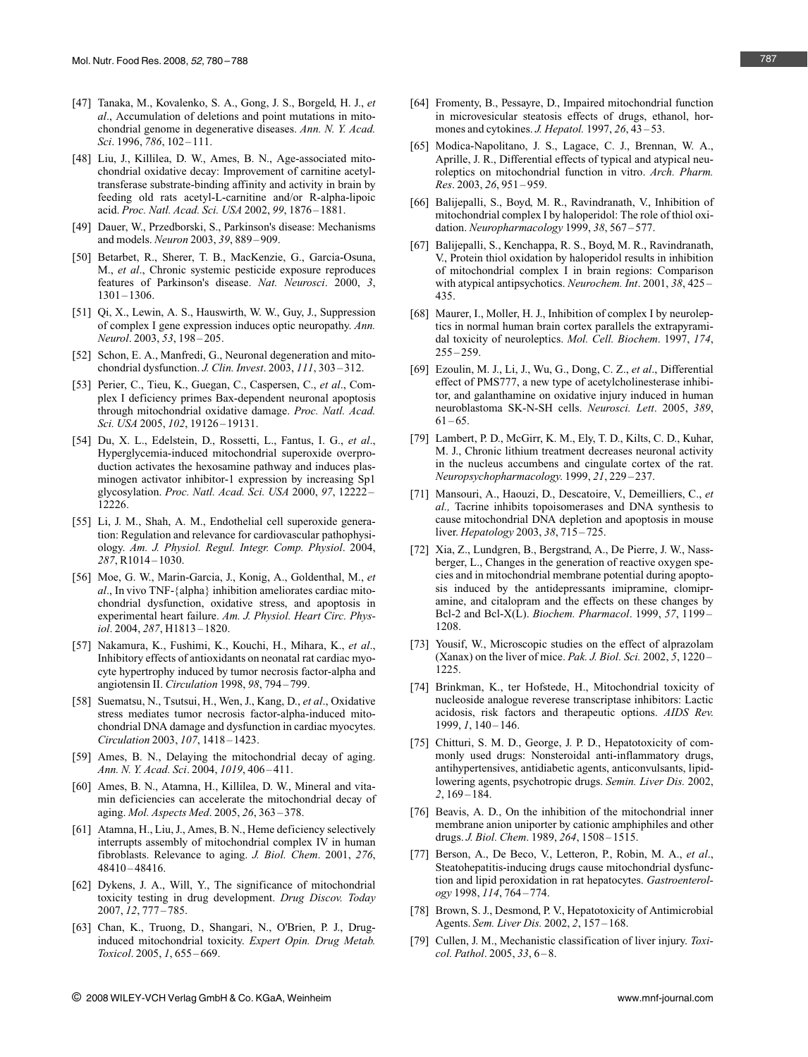- [47] Tanaka, M., Kovalenko, S. A., Gong, J. S., Borgeld, H. J., et al., Accumulation of deletions and point mutations in mitochondrial genome in degenerative diseases. Ann. N. Y. Acad. Sci. 1996, 786, 102-111.
- [48] Liu, J., Killilea, D. W., Ames, B. N., Age-associated mitochondrial oxidative decay: Improvement of carnitine acetyltransferase substrate-binding affinity and activity in brain by feeding old rats acetyl-L-carnitine and/or R-alpha-lipoic acid. Proc. Natl. Acad. Sci. USA 2002, 99, 1876 – 1881.
- [49] Dauer, W., Przedborski, S., Parkinson's disease: Mechanisms and models. Neuron 2003, 39, 889 – 909.
- [50] Betarbet, R., Sherer, T. B., MacKenzie, G., Garcia-Osuna, M., et al., Chronic systemic pesticide exposure reproduces features of Parkinson's disease. Nat. Neurosci. 2000, 3, 1301 – 1306.
- [51] Qi, X., Lewin, A. S., Hauswirth, W. W., Guy, J., Suppression of complex I gene expression induces optic neuropathy. Ann. Neurol. 2003, 53, 198 – 205.
- [52] Schon, E. A., Manfredi, G., Neuronal degeneration and mitochondrial dysfunction. J. Clin. Invest. 2003, 111, 303-312.
- [53] Perier, C., Tieu, K., Guegan, C., Caspersen, C., et al., Complex I deficiency primes Bax-dependent neuronal apoptosis through mitochondrial oxidative damage. Proc. Natl. Acad. Sci. USA 2005, 102, 19126-19131.
- [54] Du, X. L., Edelstein, D., Rossetti, L., Fantus, I. G., et al., Hyperglycemia-induced mitochondrial superoxide overproduction activates the hexosamine pathway and induces plasminogen activator inhibitor-1 expression by increasing Sp1 glycosylation. Proc. Natl. Acad. Sci. USA 2000, 97, 12222 – 12226.
- [55] Li, J. M., Shah, A. M., Endothelial cell superoxide generation: Regulation and relevance for cardiovascular pathophysiology. Am. J. Physiol. Regul. Integr. Comp. Physiol. 2004, 287, R1014 – 1030.
- [56] Moe, G. W., Marin-Garcia, J., Konig, A., Goldenthal, M., et al., In vivo TNF-{alpha} inhibition ameliorates cardiac mitochondrial dysfunction, oxidative stress, and apoptosis in experimental heart failure. Am. J. Physiol. Heart Circ. Physiol. 2004, 287, H1813 – 1820.
- [57] Nakamura, K., Fushimi, K., Kouchi, H., Mihara, K., et al., Inhibitory effects of antioxidants on neonatal rat cardiac myocyte hypertrophy induced by tumor necrosis factor-alpha and angiotensin II. Circulation 1998, 98, 794 – 799.
- [58] Suematsu, N., Tsutsui, H., Wen, J., Kang, D., et al., Oxidative stress mediates tumor necrosis factor-alpha-induced mitochondrial DNA damage and dysfunction in cardiac myocytes. Circulation 2003, 107, 1418 – 1423.
- [59] Ames, B. N., Delaying the mitochondrial decay of aging. Ann. N. Y. Acad. Sci. 2004, 1019, 406 – 411.
- [60] Ames, B. N., Atamna, H., Killilea, D. W., Mineral and vitamin deficiencies can accelerate the mitochondrial decay of aging. Mol. Aspects Med. 2005, 26, 363 – 378.
- [61] Atamna, H., Liu, J., Ames, B. N., Heme deficiency selectively interrupts assembly of mitochondrial complex IV in human fibroblasts. Relevance to aging. J. Biol. Chem. 2001, 276, 48410 – 48416.
- [62] Dykens, J. A., Will, Y., The significance of mitochondrial toxicity testing in drug development. Drug Discov. Today 2007, 12, 777 – 785.
- [63] Chan, K., Truong, D., Shangari, N., O'Brien, P. J., Druginduced mitochondrial toxicity. Expert Opin. Drug Metab. Toxicol. 2005, 1, 655 – 669.

[65] Modica-Napolitano, J. S., Lagace, C. J., Brennan, W. A., Aprille, J. R., Differential effects of typical and atypical neuroleptics on mitochondrial function in vitro. Arch. Pharm. Res. 2003, 26, 951 – 959.

mones and cytokines. *J. Hepatol.* 1997, 26, 43-53.

in microvesicular steatosis effects of drugs, ethanol, hor-

- [66] Balijepalli, S., Boyd, M. R., Ravindranath, V., Inhibition of mitochondrial complex I by haloperidol: The role of thiol oxidation. Neuropharmacology 1999, 38, 567-577.
- [67] Balijepalli, S., Kenchappa, R. S., Boyd, M. R., Ravindranath, V., Protein thiol oxidation by haloperidol results in inhibition of mitochondrial complex I in brain regions: Comparison with atypical antipsychotics. Neurochem. Int. 2001, 38, 425 – 435.
- [68] Maurer, I., Moller, H. J., Inhibition of complex I by neuroleptics in normal human brain cortex parallels the extrapyramidal toxicity of neuroleptics. Mol. Cell. Biochem. 1997, 174,  $255 - 259$ .
- [69] Ezoulin, M. J., Li, J., Wu, G., Dong, C. Z., et al., Differential effect of PMS777, a new type of acetylcholinesterase inhibitor, and galanthamine on oxidative injury induced in human neuroblastoma SK-N-SH cells. Neurosci. Lett. 2005, 389,  $61 - 65.$
- [79] Lambert, P. D., McGirr, K. M., Ely, T. D., Kilts, C. D., Kuhar, M. J., Chronic lithium treatment decreases neuronal activity in the nucleus accumbens and cingulate cortex of the rat. Neuropsychopharmacology. 1999, 21, 229 – 237.
- [71] Mansouri, A., Haouzi, D., Descatoire, V., Demeilliers, C., et al., Tacrine inhibits topoisomerases and DNA synthesis to cause mitochondrial DNA depletion and apoptosis in mouse liver. Hepatology 2003, 38, 715 – 725.
- [72] Xia, Z., Lundgren, B., Bergstrand, A., De Pierre, J. W., Nassberger, L., Changes in the generation of reactive oxygen species and in mitochondrial membrane potential during apoptosis induced by the antidepressants imipramine, clomipramine, and citalopram and the effects on these changes by Bcl-2 and Bcl-X(L). Biochem. Pharmacol. 1999, 57, 1199 – 1208.
- [73] Yousif, W., Microscopic studies on the effect of alprazolam (Xanax) on the liver of mice. Pak. J. Biol. Sci. 2002, 5, 1220 – 1225.
- [74] Brinkman, K., ter Hofstede, H., Mitochondrial toxicity of nucleoside analogue reverese transcriptase inhibitors: Lactic acidosis, risk factors and therapeutic options. AIDS Rev. 1999, 1, 140 – 146.
- [75] Chitturi, S. M. D., George, J. P. D., Hepatotoxicity of commonly used drugs: Nonsteroidal anti-inflammatory drugs, antihypertensives, antidiabetic agents, anticonvulsants, lipidlowering agents, psychotropic drugs. Semin. Liver Dis. 2002,  $2, 169 - 184.$
- [76] Beavis, A. D., On the inhibition of the mitochondrial inner membrane anion uniporter by cationic amphiphiles and other drugs. J. Biol. Chem. 1989, 264, 1508 – 1515.
- [77] Berson, A., De Beco, V., Letteron, P., Robin, M. A., et al., Steatohepatitis-inducing drugs cause mitochondrial dysfunction and lipid peroxidation in rat hepatocytes. Gastroenterology 1998, 114, 764 – 774.
- [78] Brown, S. J., Desmond, P. V., Hepatotoxicity of Antimicrobial Agents. Sem. Liver Dis. 2002, 2, 157 – 168.
- [79] Cullen, J. M., Mechanistic classification of liver injury. Toxicol. Pathol. 2005, 33, 6-8.